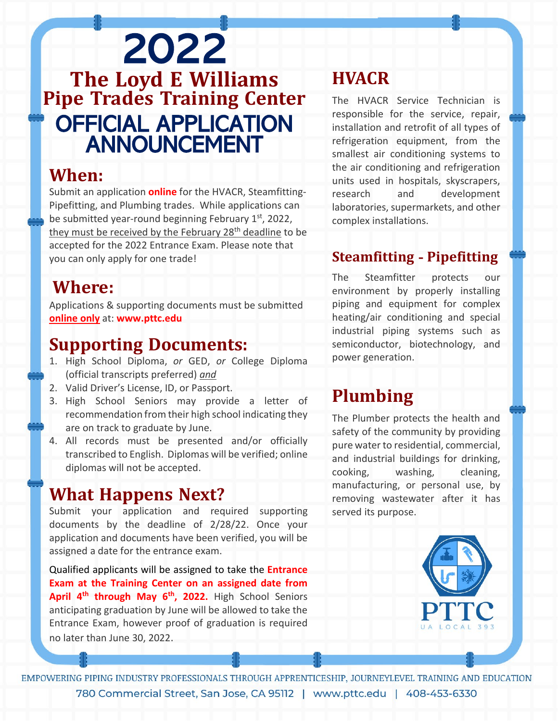# <sup>2022</sup> **The Loyd <sup>E</sup> Williams Pipe Trades Training Center** OFFICIAL APPLICATION ANNOUNCEMENT

## **When:**

Submit an application **online** for the HVACR, Steamfitting-Pipefitting, and Plumbing trades. While applications can be submitted year-round beginning February 1<sup>st</sup>, 2022, they must be received by the February 28<sup>th</sup> deadline to be accepted for the 2022 Entrance Exam. Please note that you can only apply for one trade!

## **Where:**

Applications & supporting documents must be submitted **online only** at: **www.pttc.edu**

## **Supporting Documents:**

- 1. High School Diploma, *or* GED, *or* College Diploma (official transcripts preferred) *and*
- 2. Valid Driver's License, ID, or Passport.
- 3. High School Seniors may provide a letter of recommendation from their high school indicating they are on track to graduate by June.
- 4. All records must be presented and/or officially transcribed to English. Diplomas will be verified; online diplomas will not be accepted.

# **What Happens Next?**

Submit your application and required supporting documents by the deadline of 2/28/22. Once your application and documents have been verified, you will be assigned a date for the entrance exam.

Qualified applicants will be assigned to take the **Entrance Exam at the Training Center on an assigned date from April 4th through May 6th, 2022.** High School Seniors anticipating graduation by June will be allowed to take the Entrance Exam, however proof of graduation is required no later than June 30, 2022.

# **HVACR**

The HVACR Service Technician is responsible for the service, repair, installation and retrofit of all types of refrigeration equipment, from the smallest air conditioning systems to the air conditioning and refrigeration units used in hospitals, skyscrapers, research and development laboratories, supermarkets, and other complex installations.

#### **Steamfitting - Pipefitting**

The Steamfitter protects our environment by properly installing piping and equipment for complex heating/air conditioning and special industrial piping systems such as semiconductor, biotechnology, and power generation.

# **Plumbing**

The Plumber protects the health and safety of the community by providing pure water to residential, commercial, and industrial buildings for drinking, cooking, washing, cleaning, manufacturing, or personal use, by removing wastewater after it has served its purpose.



EMPOWERING PIPING INDUSTRY PROFESSIONALS THROUGH APPRENTICESHIP, JOURNEYLEVEL TRAINING AND EDUCATION 780 Commercial Street, San Jose, CA 95112 | www.pttc.edu | 408-453-6330